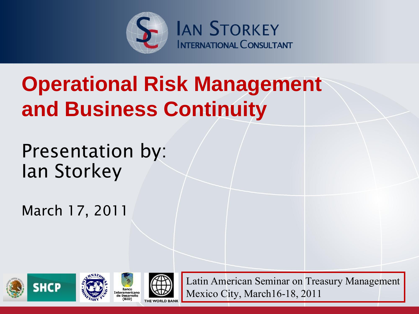

### **Operational Risk Management and Business Continuity**

Presentation by: Ian Storkey

March 17, 2011









Latin American Seminar on Treasury Management Mexico City, March16-18, 2011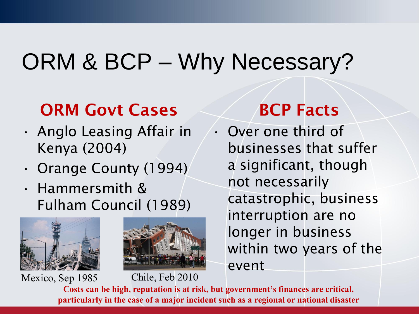## ORM & BCP – Why Necessary?

#### **ORM Govt Cases**

- Anglo Leasing Affair in Kenya (2004)
- Orange County (1994)
- Hammersmith & Fulham Council (1989)





#### **Costs can be high, reputation is at risk, but government's finances are critical, particularly in the case of a major incident such as a regional or national disaster** Mexico, Sep 1985 Chile, Feb 2010

#### **BCP Facts**

• Over one third of businesses that suffer a significant, though not necessarily catastrophic, business interruption are no longer in business within two years of the event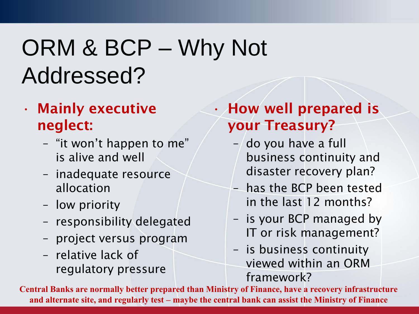## ORM & BCP – Why Not Addressed?

- **Mainly executive neglect:**
	- "it won't happen to me" is alive and well
	- inadequate resource allocation
	- low priority
	- responsibility delegated
	- project versus program
	- relative lack of regulatory pressure

• **How well prepared is your Treasury?**

- $-$  do you have a full business continuity and disaster recovery plan?
- has the BCP been tested in the last 12 months?
- is your BCP managed by IT or risk management?
- is business continuity viewed within an ORM framework?

**Central Banks are normally better prepared than Ministry of Finance, have a recovery infrastructure and alternate site, and regularly test – maybe the central bank can assist the Ministry of Finance**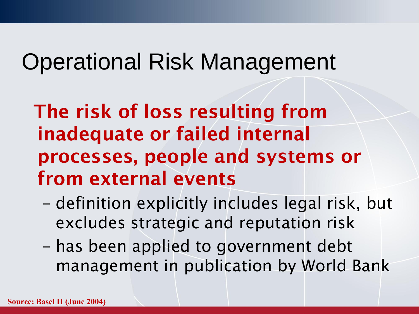## Operational Risk Management

**The risk of loss resulting from inadequate or failed internal processes, people and systems or from external events**

- definition explicitly includes legal risk, but excludes strategic and reputation risk
- has been applied to government debt management in publication by World Bank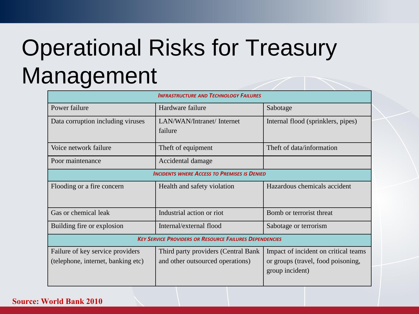# Operational Risks for Treasury Management

| <b>INFRASTRUCTURE AND TECHNOLOGY FAILURES</b>                          |                                                                         |                                                                                               |  |  |  |  |
|------------------------------------------------------------------------|-------------------------------------------------------------------------|-----------------------------------------------------------------------------------------------|--|--|--|--|
| Power failure                                                          | Hardware failure                                                        | Sabotage                                                                                      |  |  |  |  |
| Data corruption including viruses                                      | LAN/WAN/Intranet/ Internet<br>failure                                   | Internal flood (sprinklers, pipes)                                                            |  |  |  |  |
| Voice network failure                                                  | Theft of equipment                                                      | Theft of data/information                                                                     |  |  |  |  |
| Poor maintenance                                                       | Accidental damage                                                       |                                                                                               |  |  |  |  |
| <b>INCIDENTS WHERE ACCESS TO PREMISES IS DENIED</b>                    |                                                                         |                                                                                               |  |  |  |  |
| Flooding or a fire concern                                             | Health and safety violation                                             | Hazardous chemicals accident                                                                  |  |  |  |  |
| Gas or chemical leak                                                   | Industrial action or riot                                               | Bomb or terrorist threat                                                                      |  |  |  |  |
| Building fire or explosion                                             | Internal/external flood                                                 | Sabotage or terrorism                                                                         |  |  |  |  |
| <b>KEY SERVICE PROVIDERS OR RESOURCE FAILURES DEPENDENCIES</b>         |                                                                         |                                                                                               |  |  |  |  |
| Failure of key service providers<br>(telephone, internet, banking etc) | Third party providers (Central Bank<br>and other outsourced operations) | Impact of incident on critical teams<br>or groups (travel, food poisoning,<br>group incident) |  |  |  |  |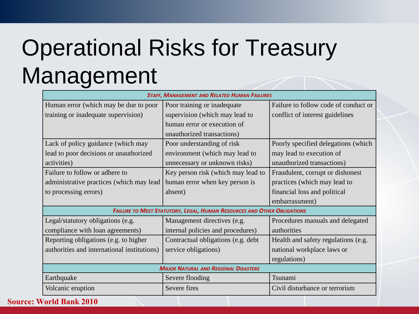# Operational Risks for Treasury Management

| <b>STAFF, MANAGEMENT AND RELATED HUMAN FAILURES</b> |                                                                                |                                      |  |  |
|-----------------------------------------------------|--------------------------------------------------------------------------------|--------------------------------------|--|--|
| Human error (which may be due to poor               | Poor training or inadequate                                                    | Failure to follow code of conduct or |  |  |
| training or inadequate supervision)                 | supervision (which may lead to                                                 | conflict of interest guidelines      |  |  |
|                                                     | human error or execution of                                                    |                                      |  |  |
|                                                     | unauthorized transactions)                                                     |                                      |  |  |
| Lack of policy guidance (which may                  | Poor understanding of risk                                                     | Poorly specified delegations (which  |  |  |
| lead to poor decisions or unauthorized              | environment (which may lead to                                                 | may lead to execution of             |  |  |
| activities)                                         | unnecessary or unknown risks)                                                  | unauthorized transactions)           |  |  |
| Failure to follow or adhere to                      | Key person risk (which may lead to                                             | Fraudulent, corrupt or dishonest     |  |  |
| administrative practices (which may lead            | human error when key person is                                                 | practices (which may lead to         |  |  |
| to processing errors)                               | absent)                                                                        | financial loss and political         |  |  |
|                                                     |                                                                                | embarrassment)                       |  |  |
|                                                     | <b>FAILURE TO MEET STATUTORY, LEGAL, HUMAN RESOURCES AND OTHER OBLIGATIONS</b> |                                      |  |  |
| Legal/statutory obligations (e.g.                   | Management directives (e.g.                                                    | Procedures manuals and delegated     |  |  |
| compliance with loan agreements)                    | internal policies and procedures)                                              | authorities                          |  |  |
| Reporting obligations (e.g. to higher               | Contractual obligations (e.g. debt                                             | Health and safety regulations (e.g.  |  |  |
| authorities and international institutions)         | service obligations)                                                           | national workplace laws or           |  |  |
|                                                     |                                                                                | regulations)                         |  |  |
|                                                     | <b>MAJOR NATURAL AND REGIONAL DISASTERS</b>                                    |                                      |  |  |
| Earthquake                                          | Severe flooding                                                                | Tsunami                              |  |  |
| Volcanic eruption                                   | Severe fires                                                                   | Civil disturbance or terrorism       |  |  |
| <b>Source: World Bank 2010</b>                      |                                                                                |                                      |  |  |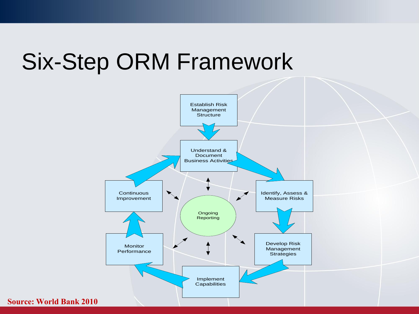### Six-Step ORM Framework



**Source: World Bank 2010**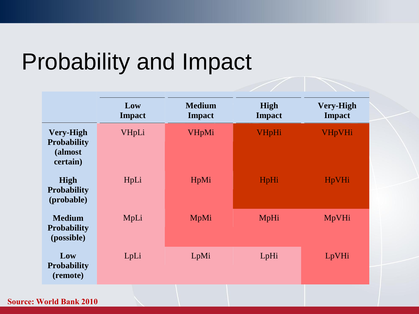### Probability and Impact

|                                                               | Low<br><b>Impact</b> | <b>Medium</b><br><b>Impact</b> | High<br><b>Impact</b> | <b>Very-High</b><br><b>Impact</b> |
|---------------------------------------------------------------|----------------------|--------------------------------|-----------------------|-----------------------------------|
| <b>Very-High</b><br><b>Probability</b><br>(almost<br>certain) | VHpLi                | <b>VHpMi</b>                   | <b>VHpHi</b>          | <b>VHpVHi</b>                     |
| High<br><b>Probability</b><br>(probable)                      | HpLi                 | HpMi                           | HpHi                  | <b>HpVHi</b>                      |
| <b>Medium</b><br><b>Probability</b><br>(possible)             | MpLi                 | MpMi                           | MpHi                  | MpVHi                             |
| Low<br><b>Probability</b><br>(remote)                         | LpLi                 | LpMi                           | LpHi                  | LpVHi                             |
|                                                               |                      |                                |                       |                                   |

**Source: World Bank 2010**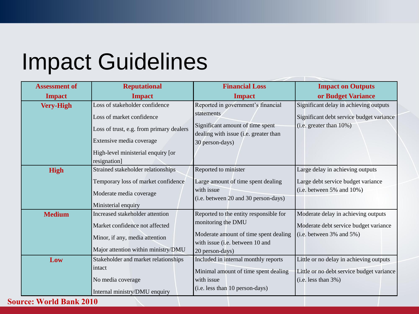## Impact Guidelines

| <b>Assessment of</b> | <b>Reputational</b>                                | <b>Financial Loss</b>                                                     | <b>Impact on Outputs</b>                  |
|----------------------|----------------------------------------------------|---------------------------------------------------------------------------|-------------------------------------------|
| <b>Impact</b>        | <b>Impact</b>                                      | <b>Impact</b>                                                             | or Budget Variance                        |
| <b>Very-High</b>     | Loss of stakeholder confidence                     | Reported in government's financial                                        | Significant delay in achieving outputs    |
|                      | Loss of market confidence                          | statements                                                                | Significant debt service budget variance  |
|                      | Loss of trust, e.g. from primary dealers           | Significant amount of time spent<br>dealing with issue (i.e. greater than | (i.e. greater than 10%)                   |
|                      | Extensive media coverage                           | 30 person-days)                                                           |                                           |
|                      | High-level ministerial enquiry [or<br>resignation] |                                                                           |                                           |
| <b>High</b>          | Strained stakeholder relationships                 | Reported to minister                                                      | Large delay in achieving outputs          |
|                      | Temporary loss of market confidence                | Large amount of time spent dealing                                        | Large debt service budget variance        |
|                      | Moderate media coverage                            | with issue                                                                | (i.e. between 5% and 10%)                 |
|                      | Ministerial enquiry                                | (i.e. between 20 and 30 person-days)                                      |                                           |
| <b>Medium</b>        | Increased stakeholder attention                    | Reported to the entity responsible for                                    | Moderate delay in achieving outputs       |
|                      | Market confidence not affected                     | monitoring the DMU                                                        | Moderate debt service budget variance     |
|                      | Minor, if any, media attention                     | Moderate amount of time spent dealing                                     | $(i.e. between 3\% and 5\%)$              |
|                      | Major attention within ministry/DMU                | with issue (i.e. between 10 and                                           |                                           |
|                      |                                                    | 20 person-days)                                                           |                                           |
| Low                  | Stakeholder and market relationships               | Included in internal monthly reports                                      | Little or no delay in achieving outputs   |
|                      | intact                                             | Minimal amount of time spent dealing                                      | Little or no debt service budget variance |
|                      | No media coverage                                  | with issue                                                                | $(i.e. less than 3\%)$                    |
|                      | Internal ministry/DMU enquiry                      | (i.e. less than 10 person-days)                                           |                                           |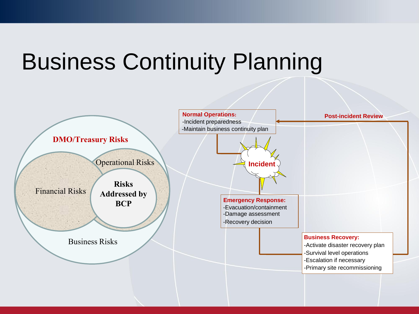## Business Continuity Planning

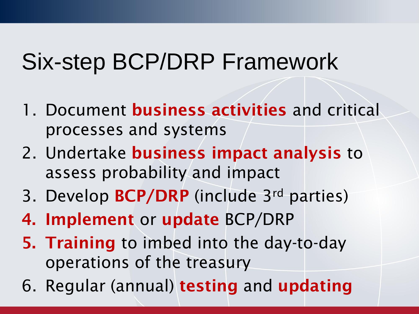## Six-step BCP/DRP Framework

- 1. Document **business activities** and critical processes and systems
- 2. Undertake **business impact analysis** to assess probability and impact
- 3. Develop **BCP/DRP** (include 3rd parties)
- **4. Implement** or **update** BCP/DRP
- **5. Training** to imbed into the day-to-day operations of the treasury
- 6. Regular (annual) **testing** and **updating**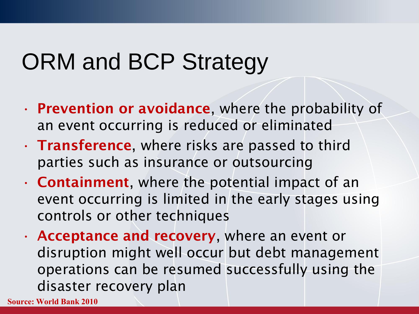## ORM and BCP Strategy

- **Prevention or avoidance**, where the probability of an event occurring is reduced or eliminated
- **Transference**, where risks are passed to third parties such as insurance or outsourcing
- **Containment**, where the potential impact of an event occurring is limited in the early stages using controls or other techniques
- **Acceptance and recovery**, where an event or disruption might well occur but debt management operations can be resumed successfully using the disaster recovery plan

**Source: World Bank 2010**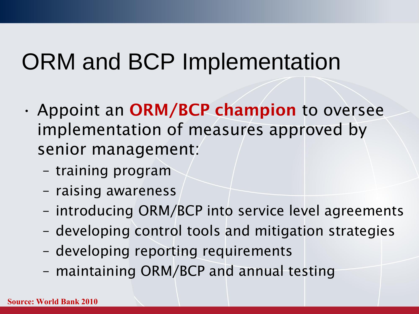## ORM and BCP Implementation

- Appoint an **ORM/BCP champion** to oversee implementation of measures approved by senior management:
	- training program
	- raising awareness
	- introducing ORM/BCP into service level agreements
	- developing control tools and mitigation strategies
	- developing reporting requirements
	- maintaining ORM/BCP and annual testing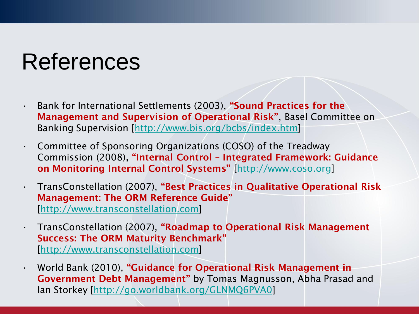## References

- Bank for International Settlements (2003), **"Sound Practices for the Management and Supervision of Operational Risk"**, Basel Committee on Banking Supervision [<http://www.bis.org/bcbs/index.htm>]
- Committee of Sponsoring Organizations (COSO) of the Treadway Commission (2008), **"Internal Control – Integrated Framework: Guidance on Monitoring Internal Control Systems"** [\[http://www.coso.org\]](http://www.coso.org/)
- TransConstellation (2007), **"Best Practices in Qualitative Operational Risk Management: The ORM Reference Guide"**  [\[http://www.transconstellation.com\]](http://www.transconstellation.com/)
- TransConstellation (2007), **"Roadmap to Operational Risk Management Success: The ORM Maturity Benchmark"** [\[http://www.transconstellation.com\]](http://www.transconstellation.com/)
	- World Bank (2010), **"Guidance for Operational Risk Management in Government Debt Management"** by Tomas Magnusson, Abha Prasad and Ian Storkey [\[http://go.worldbank.org/GLNMQ6PVA0](http://go.worldbank.org/GLNMQ6PVA0)]